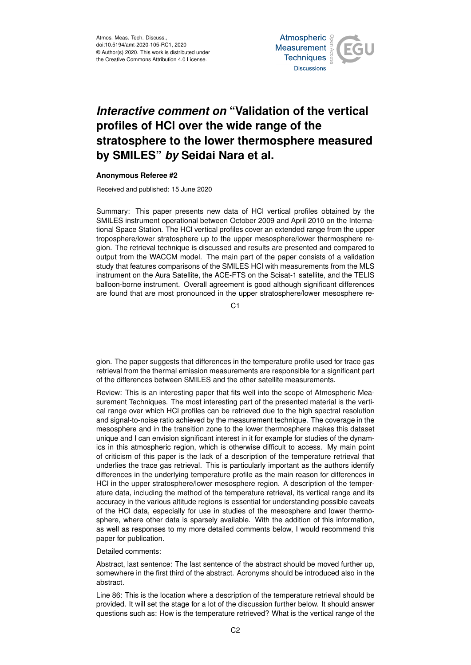Atmos. Meas. Tech. Discuss., doi:10.5194/amt-2020-105-RC1, 2020 © Author(s) 2020. This work is distributed under the Creative Commons Attribution 4.0 License.



## *Interactive comment on* **"Validation of the vertical profiles of HCl over the wide range of the stratosphere to the lower thermosphere measured by SMILES"** *by* **Seidai Nara et al.**

## **Anonymous Referee #2**

Received and published: 15 June 2020

Summary: This paper presents new data of HCl vertical profiles obtained by the SMILES instrument operational between October 2009 and April 2010 on the International Space Station. The HCl vertical profiles cover an extended range from the upper troposphere/lower stratosphere up to the upper mesosphere/lower thermosphere region. The retrieval technique is discussed and results are presented and compared to output from the WACCM model. The main part of the paper consists of a validation study that features comparisons of the SMILES HCl with measurements from the MLS instrument on the Aura Satellite, the ACE-FTS on the Scisat-1 satellite, and the TELIS balloon-borne instrument. Overall agreement is good although significant differences are found that are most pronounced in the upper stratosphere/lower mesosphere re-

 $C<sub>1</sub>$ 

gion. The paper suggests that differences in the temperature profile used for trace gas retrieval from the thermal emission measurements are responsible for a significant part of the differences between SMILES and the other satellite measurements.

Review: This is an interesting paper that fits well into the scope of Atmospheric Measurement Techniques. The most interesting part of the presented material is the vertical range over which HCl profiles can be retrieved due to the high spectral resolution and signal-to-noise ratio achieved by the measurement technique. The coverage in the mesosphere and in the transition zone to the lower thermosphere makes this dataset unique and I can envision significant interest in it for example for studies of the dynamics in this atmospheric region, which is otherwise difficult to access. My main point of criticism of this paper is the lack of a description of the temperature retrieval that underlies the trace gas retrieval. This is particularly important as the authors identify differences in the underlying temperature profile as the main reason for differences in HCl in the upper stratosphere/lower mesosphere region. A description of the temperature data, including the method of the temperature retrieval, its vertical range and its accuracy in the various altitude regions is essential for understanding possible caveats of the HCl data, especially for use in studies of the mesosphere and lower thermosphere, where other data is sparsely available. With the addition of this information, as well as responses to my more detailed comments below, I would recommend this paper for publication.

## Detailed comments:

Abstract, last sentence: The last sentence of the abstract should be moved further up, somewhere in the first third of the abstract. Acronyms should be introduced also in the abstract.

Line 86: This is the location where a description of the temperature retrieval should be provided. It will set the stage for a lot of the discussion further below. It should answer questions such as: How is the temperature retrieved? What is the vertical range of the